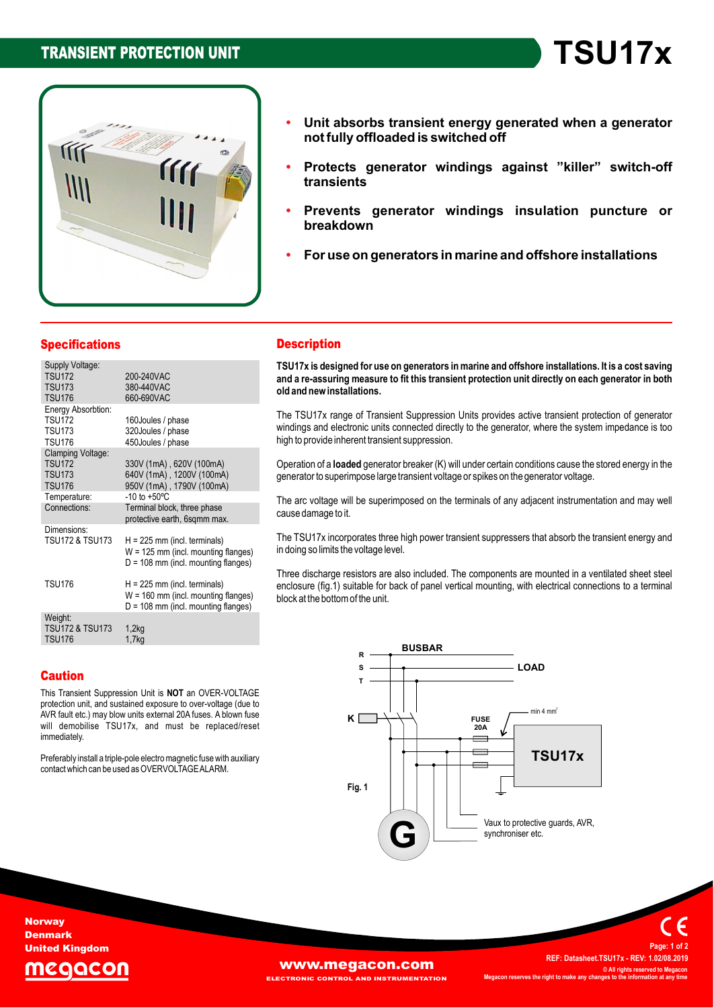# **TRANSIENT PROTECTION UNIT**



**Protects generator windings against îkillerî switch-off transients absorbs transient energy generated when <sup>a</sup> generator** orbs transient energy generate<br>offloaded is switched off

**TSU17x** 

- r roloolo<br>franciant<sub>'</sub> **generator windings insulation puncture or breakdown**
- **breakdown use on generators in marine and offshore installations**
- 

| <b>Specifications</b>                                                 |                                                                                                                  | <b>Description</b>                                                                                            |  |
|-----------------------------------------------------------------------|------------------------------------------------------------------------------------------------------------------|---------------------------------------------------------------------------------------------------------------|--|
| Supply Voltage:<br><b>TSU172</b><br><b>TSU173</b><br><b>TSU176</b>    | 200-240VAC<br>380-440VAC<br>660-690VAC                                                                           | TSU17x is designed for use on g<br>and a re-assuring measure to fit<br>old and new installations.             |  |
| Energy Absorbtion:<br><b>TSU172</b><br><b>TSU173</b><br><b>TSU176</b> | 160Joules / phase<br>320Joules / phase<br>450Joules / phase                                                      | The TSU17x range of Transient<br>windings and electronic units con<br>high to provide inherent transient s    |  |
| Clamping Voltage:<br><b>TSU172</b><br><b>TSU173</b><br><b>TSU176</b>  | 330V (1mA), 620V (100mA)<br>640V (1mA), 1200V (100mA)<br>950V (1mA), 1790V (100mA)                               | Operation of a <b>loaded</b> generator b<br>generator to superimpose large tra                                |  |
| Temperature:<br>Connections:                                          | $-10$ to $+50^{\circ}$ C<br>Terminal block, three phase<br>protective earth, 6sqmm max.                          | The arc voltage will be superimpo<br>cause damage to it.                                                      |  |
| Dimensions:<br><b>TSU172 &amp; TSU173</b>                             | $H = 225$ mm (incl. terminals)<br>$W = 125$ mm (incl. mounting flanges)<br>$D = 108$ mm (incl. mounting flanges) | The TSU17x incorporates three hi<br>in doing so limits the voltage level.                                     |  |
| <b>TSU176</b>                                                         | $H = 225$ mm (incl. terminals)<br>$W = 160$ mm (incl. mounting flanges)<br>$D = 108$ mm (incl. mounting flanges) | Three discharge resistors are alse<br>enclosure (fig.1) suitable for back<br>block at the bottom of the unit. |  |
| Weight:<br><b>TSU172 &amp; TSU173</b><br><b>TSU176</b>                | 1,2kg<br>1.7 <sub>k</sub>                                                                                        |                                                                                                               |  |

## **Description**

**Description**<br>TSU17x is designed for use on generators in marine and offshore installations. It is a cost saving<br>and a re-assuring measure to fit this transient protection unit directly on each generator in both and a re-assuring measure to fit this transient protection unit directly on each generator in both old and new installations.

high to provide inherent transient suppression. old and new installations.<br>The TSU17x range of Transient Suppression Units provides active transient protection of generator<br>windings and electronic units connected directly to the generator, where the system impedance is windings and electronic units connected directly to the generator, where the system impedance is too

nign to provide innerent transient suppression.<br>Operation of a **loaded** generator breaker (K) will under certain conditions cause the stored energy in the<br>generator to superimpose large transient voltage or spikes on the g

generator to superimpose large transient voltage or spikes on the generator voltage.<br>The arc voltage will be superimposed on the terminals of any adjacent instrumentation and may well<br>cause damage to it.

cause damage to it.<br>The TSU17x incorporates three high power transient suppressers that absorb the transient energy and<br>in doing so limits the voltage level.

in doing so limits the voltage level.<br>Three discharge resistors are also included. The components are mounted in a ventilated sheet steel<br>enclosure (fig.1) suitable for back of panel vertical mounting, with electrical conn enclosure (fig.1) suitable for back of panel vertical mounting, with electrical connections to a terminal block at the bottom of the unit.

# Caution

**Caution**<br>This Transient Suppression Unit is **NOT** an OVER-VOLTAGE<br>protection unit, and sustained exposure to over-voltage (due to protection unit, and sustained exposure to over-voltage (due to proiection unit, and sustained exposure to over-voltage (due to<br>AVR fault etc.) may blow units external 20A fuses. A blown fuse<br>will demobilise TSU17x, and must be replaced/reset immediately.

inmiediately.<br>Preferably install a triple-pole electro magnetic fuse with auxiliary<br>contact which can be used as OVERVOLTAGE ALARM.



**Norway** Denmark United Kingdom

# zaacor

[www.megacon.com](http://www.megacon.com)

**ECTRONIC CONTROL AND INSTRUMENTATION** 

 **Datasheet.TSU17x - REV: 1.02/08.2019 ©ALL BEET DATAGES IN SECTION ARE SERVED ASSESS**<br> **All rights reserved to Megacon Megacon C** All rights reserved to **M**<br>**right right right right <sup>1</sup> of <sup>2</sup>**

**Page:**

**REF:**